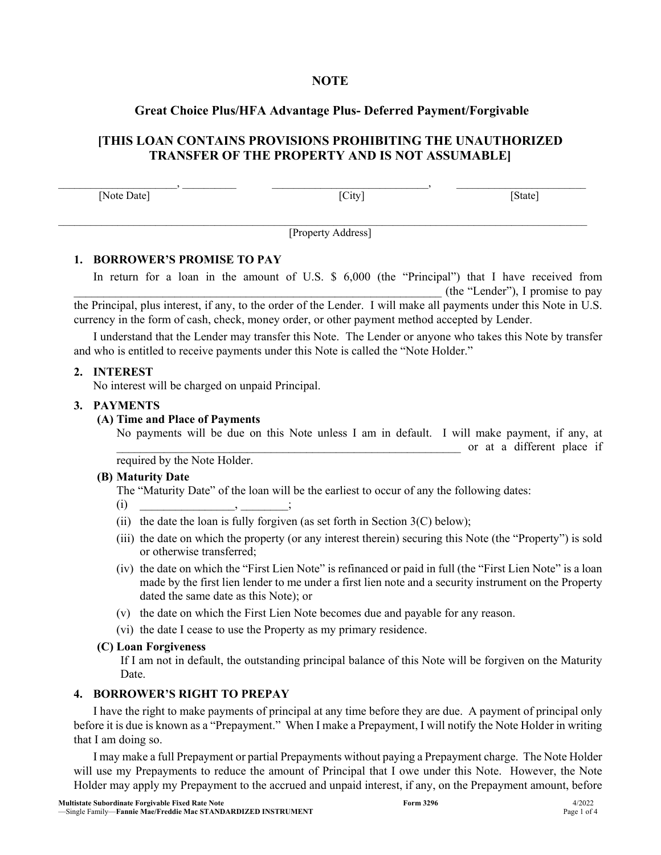## **NOTE**

# **Great Choice Plus/HFA Advantage Plus- Deferred Payment/Forgivable**

# **[THIS LOAN CONTAINS PROVISIONS PROHIBITING THE UNAUTHORIZED TRANSFER OF THE PROPERTY AND IS NOT ASSUMABLE]**

 $\,$ [Note Date] [State] **[City]** [State]

[Property Address]

 $\mathcal{L}_\mathcal{L} = \mathcal{L}_\mathcal{L} = \mathcal{L}_\mathcal{L} = \mathcal{L}_\mathcal{L} = \mathcal{L}_\mathcal{L} = \mathcal{L}_\mathcal{L} = \mathcal{L}_\mathcal{L} = \mathcal{L}_\mathcal{L} = \mathcal{L}_\mathcal{L} = \mathcal{L}_\mathcal{L} = \mathcal{L}_\mathcal{L} = \mathcal{L}_\mathcal{L} = \mathcal{L}_\mathcal{L} = \mathcal{L}_\mathcal{L} = \mathcal{L}_\mathcal{L} = \mathcal{L}_\mathcal{L} = \mathcal{L}_\mathcal{L}$ 

### **1. BORROWER'S PROMISE TO PAY**

In return for a loan in the amount of U.S. \$ 6,000 (the "Principal") that I have received from \_\_\_\_\_\_\_\_\_\_\_\_\_\_\_\_\_\_\_\_\_\_\_\_\_\_\_\_\_\_\_\_\_\_\_\_\_\_\_\_\_\_\_\_\_\_\_\_\_\_\_\_\_\_\_\_\_\_\_\_\_\_ (the "Lender"), I promise to pay the Principal, plus interest, if any, to the order of the Lender. I will make all payments under this Note in U.S. currency in the form of cash, check, money order, or other payment method accepted by Lender.

I understand that the Lender may transfer this Note. The Lender or anyone who takes this Note by transfer and who is entitled to receive payments under this Note is called the "Note Holder."

### **2. INTEREST**

No interest will be charged on unpaid Principal.

### **3. PAYMENTS**

### **(A) Time and Place of Payments**

No payments will be due on this Note unless I am in default. I will make payment, if any, at \_\_\_\_\_\_\_\_\_\_\_\_\_\_\_\_\_\_\_\_\_\_\_\_\_\_\_\_\_\_\_\_\_\_\_\_\_\_\_\_\_\_\_\_\_\_\_\_\_\_\_\_\_\_\_\_\_\_ or at a different place if

required by the Note Holder.

### **(B) Maturity Date**

The "Maturity Date" of the loan will be the earliest to occur of any the following dates:

 $(i)$  , ;

- (ii) the date the loan is fully forgiven (as set forth in Section  $3(C)$  below);
- (iii) the date on which the property (or any interest therein) securing this Note (the "Property") is sold or otherwise transferred;
- (iv) the date on which the "First Lien Note" is refinanced or paid in full (the "First Lien Note" is a loan made by the first lien lender to me under a first lien note and a security instrument on the Property dated the same date as this Note); or
- (v) the date on which the First Lien Note becomes due and payable for any reason.
- (vi) the date I cease to use the Property as my primary residence.

### **(C) Loan Forgiveness**

If I am not in default, the outstanding principal balance of this Note will be forgiven on the Maturity Date.

## **4. BORROWER'S RIGHT TO PREPAY**

I have the right to make payments of principal at any time before they are due. A payment of principal only before it is due is known as a "Prepayment." When I make a Prepayment, I will notify the Note Holder in writing that I am doing so.

I may make a full Prepayment or partial Prepayments without paying a Prepayment charge. The Note Holder will use my Prepayments to reduce the amount of Principal that I owe under this Note. However, the Note Holder may apply my Prepayment to the accrued and unpaid interest, if any, on the Prepayment amount, before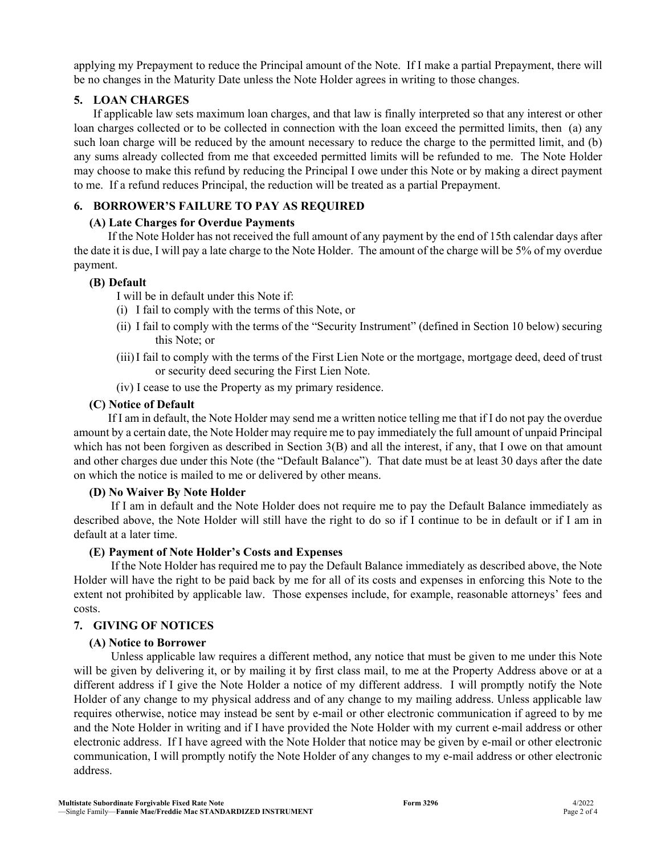applying my Prepayment to reduce the Principal amount of the Note. If I make a partial Prepayment, there will be no changes in the Maturity Date unless the Note Holder agrees in writing to those changes.

## **5. LOAN CHARGES**

If applicable law sets maximum loan charges, and that law is finally interpreted so that any interest or other loan charges collected or to be collected in connection with the loan exceed the permitted limits, then (a) any such loan charge will be reduced by the amount necessary to reduce the charge to the permitted limit, and (b) any sums already collected from me that exceeded permitted limits will be refunded to me. The Note Holder may choose to make this refund by reducing the Principal I owe under this Note or by making a direct payment to me. If a refund reduces Principal, the reduction will be treated as a partial Prepayment.

# **6. BORROWER'S FAILURE TO PAY AS REQUIRED**

## **(A) Late Charges for Overdue Payments**

 If the Note Holder has not received the full amount of any payment by the end of 15th calendar days after the date it is due, I will pay a late charge to the Note Holder. The amount of the charge will be 5% of my overdue payment.

## **(B) Default**

- I will be in default under this Note if:
- (i) I fail to comply with the terms of this Note, or
- (ii) I fail to comply with the terms of the "Security Instrument" (defined in Section 10 below) securing this Note; or
- (iii)I fail to comply with the terms of the First Lien Note or the mortgage, mortgage deed, deed of trust or security deed securing the First Lien Note.
- (iv) I cease to use the Property as my primary residence.

# **(C) Notice of Default**

 If I am in default, the Note Holder may send me a written notice telling me that if I do not pay the overdue amount by a certain date, the Note Holder may require me to pay immediately the full amount of unpaid Principal which has not been forgiven as described in Section 3(B) and all the interest, if any, that I owe on that amount and other charges due under this Note (the "Default Balance"). That date must be at least 30 days after the date on which the notice is mailed to me or delivered by other means.

# **(D) No Waiver By Note Holder**

 If I am in default and the Note Holder does not require me to pay the Default Balance immediately as described above, the Note Holder will still have the right to do so if I continue to be in default or if I am in default at a later time.

# **(E) Payment of Note Holder's Costs and Expenses**

 If the Note Holder has required me to pay the Default Balance immediately as described above, the Note Holder will have the right to be paid back by me for all of its costs and expenses in enforcing this Note to the extent not prohibited by applicable law. Those expenses include, for example, reasonable attorneys' fees and costs.

# **7. GIVING OF NOTICES**

# **(A) Notice to Borrower**

 Unless applicable law requires a different method, any notice that must be given to me under this Note will be given by delivering it, or by mailing it by first class mail, to me at the Property Address above or at a different address if I give the Note Holder a notice of my different address. I will promptly notify the Note Holder of any change to my physical address and of any change to my mailing address. Unless applicable law requires otherwise, notice may instead be sent by e-mail or other electronic communication if agreed to by me and the Note Holder in writing and if I have provided the Note Holder with my current e-mail address or other electronic address. If I have agreed with the Note Holder that notice may be given by e-mail or other electronic communication, I will promptly notify the Note Holder of any changes to my e-mail address or other electronic address.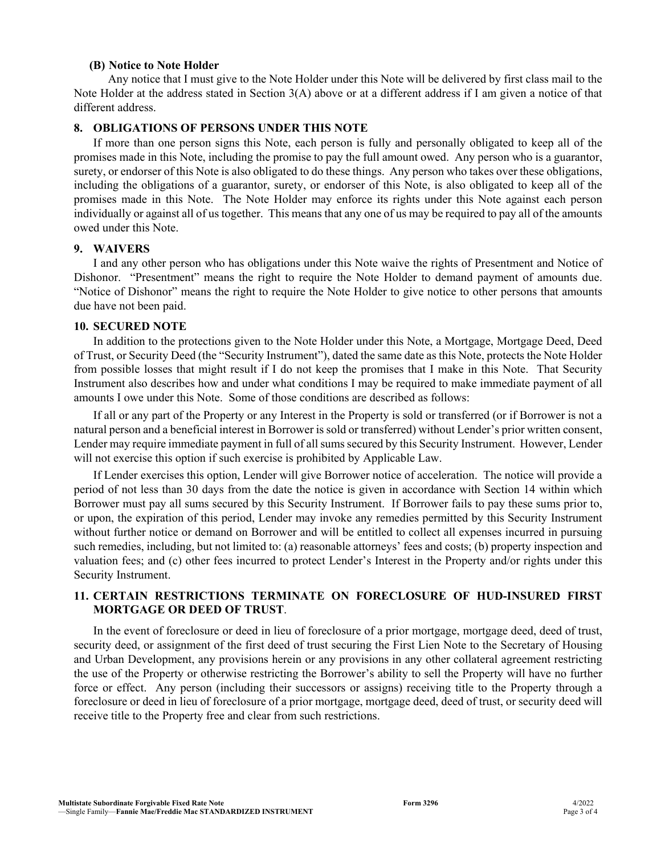#### **(B) Notice to Note Holder**

 Any notice that I must give to the Note Holder under this Note will be delivered by first class mail to the Note Holder at the address stated in Section 3(A) above or at a different address if I am given a notice of that different address.

#### **8. OBLIGATIONS OF PERSONS UNDER THIS NOTE**

If more than one person signs this Note, each person is fully and personally obligated to keep all of the promises made in this Note, including the promise to pay the full amount owed. Any person who is a guarantor, surety, or endorser of this Note is also obligated to do these things. Any person who takes over these obligations, including the obligations of a guarantor, surety, or endorser of this Note, is also obligated to keep all of the promises made in this Note. The Note Holder may enforce its rights under this Note against each person individually or against all of us together. This means that any one of us may be required to pay all of the amounts owed under this Note.

### **9. WAIVERS**

I and any other person who has obligations under this Note waive the rights of Presentment and Notice of Dishonor. "Presentment" means the right to require the Note Holder to demand payment of amounts due. "Notice of Dishonor" means the right to require the Note Holder to give notice to other persons that amounts due have not been paid.

### **10. SECURED NOTE**

In addition to the protections given to the Note Holder under this Note, a Mortgage, Mortgage Deed, Deed of Trust, or Security Deed (the "Security Instrument"), dated the same date as this Note, protects the Note Holder from possible losses that might result if I do not keep the promises that I make in this Note. That Security Instrument also describes how and under what conditions I may be required to make immediate payment of all amounts I owe under this Note. Some of those conditions are described as follows:

If all or any part of the Property or any Interest in the Property is sold or transferred (or if Borrower is not a natural person and a beneficial interest in Borrower is sold or transferred) without Lender's prior written consent, Lender may require immediate payment in full of all sums secured by this Security Instrument. However, Lender will not exercise this option if such exercise is prohibited by Applicable Law.

If Lender exercises this option, Lender will give Borrower notice of acceleration. The notice will provide a period of not less than 30 days from the date the notice is given in accordance with Section 14 within which Borrower must pay all sums secured by this Security Instrument. If Borrower fails to pay these sums prior to, or upon, the expiration of this period, Lender may invoke any remedies permitted by this Security Instrument without further notice or demand on Borrower and will be entitled to collect all expenses incurred in pursuing such remedies, including, but not limited to: (a) reasonable attorneys' fees and costs; (b) property inspection and valuation fees; and (c) other fees incurred to protect Lender's Interest in the Property and/or rights under this Security Instrument.

### **11. CERTAIN RESTRICTIONS TERMINATE ON FORECLOSURE OF HUD-INSURED FIRST MORTGAGE OR DEED OF TRUST**.

In the event of foreclosure or deed in lieu of foreclosure of a prior mortgage, mortgage deed, deed of trust, security deed, or assignment of the first deed of trust securing the First Lien Note to the Secretary of Housing and Urban Development, any provisions herein or any provisions in any other collateral agreement restricting the use of the Property or otherwise restricting the Borrower's ability to sell the Property will have no further force or effect. Any person (including their successors or assigns) receiving title to the Property through a foreclosure or deed in lieu of foreclosure of a prior mortgage, mortgage deed, deed of trust, or security deed will receive title to the Property free and clear from such restrictions.